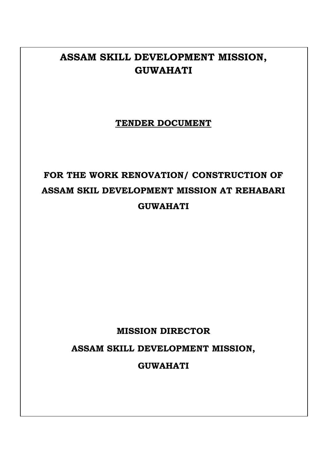## **ASSAM SKILL DEVELOPMENT MISSION, GUWAHATI**

### **TENDER DOCUMENT**

# **FOR THE WORK RENOVATION/ CONSTRUCTION OF ASSAM SKIL DEVELOPMENT MISSION AT REHABARI GUWAHATI**

## **MISSION DIRECTOR**

**ASSAM SKILL DEVELOPMENT MISSION,**

**GUWAHATI**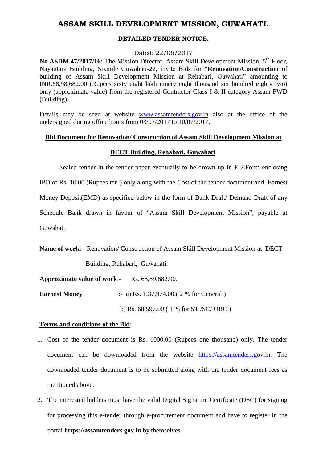### **ASSAM SKILL DEVELOPMENT MISSION, GUWAHATI.**

#### **DETAILED TENDER NOTICE.**

#### Dated: 22/06/2017

No ASDM.47/2017/16: The Mission Director, Assam Skill Development Mission, 5<sup>th</sup> Floor, Nayantara Building, Sixmile Guwahati-22, invite Bids for "**Renovation/Construction** of building of Assam Skill Development Mission at Rehabari, Guwahati" amounting to INR.68,98,682.00 (Rupees sixty eight lakh ninety eight thousand six hundred eighty two) only (approximate value) from the registered Contractor Class I & II category Assam PWD (Building).

Details may be seen at website [www.assamtenders.gov.in](http://www.assamtenders.gov.in/) also at the office of the undersigned during office hours from 03/07/2017 to 10/07/2017.

#### **Bid Document for Renovation/ Construction of Assam Skill Development Mission at**

#### **DECT Building, Rehabari, Guwahati**.

Sealed tender in the tender paper eventually to be drown up in F-2.Form enclosing IPO of Rs. 10.00 (Rupees ten ) only along with the Cost of the tender document and Earnest Money Deposit(EMD) as specified below in the form of Bank Draft/ Demand Draft of any Schedule Bank drawn in favour of "Assam Skill Development Mission", payable at Guwahati.

```
Name of work: - Renovation/ Construction of Assam Skill Development Mission at DECT 
     Building, Rehabari, Guwahati.
```
**Approximate value of work**:- Rs. 68,59,682.00.

**Earnest Money** :- a) Rs. 1,37,974.00.( 2 % for General )

b) Rs. 68,597.00 ( 1 % for ST /SC/ OBC )

#### **Terms and conditions of the Bid:**

- 1. Cost of the tender document is Rs. 1000.00 (Rupees one thousand) only. The tender document can be downloaded from the website [https://assamtenders.gov.in.](https://assamtenders.gov.in/) The downloaded tender document is to be submitted along with the tender document fees as mentioned above.
- 2. The interested bidders must have the valid Digital Signature Certificate (DSC) for signing for processing this e-tender through e-procurement document and have to register in the portal **https://assamtenders.gov.in** by themselves**.**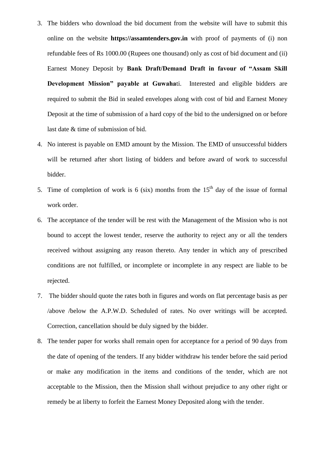- 3. The bidders who download the bid document from the website will have to submit this online on the website **https://assamtenders.gov.in** with proof of payments of (i) non refundable fees of Rs 1000.00 (Rupees one thousand) only as cost of bid document and (ii) Earnest Money Deposit by **Bank Draft/Demand Draft in favour of "Assam Skill Development Mission" payable at Guwaha**ti. Interested and eligible bidders are required to submit the Bid in sealed envelopes along with cost of bid and Earnest Money Deposit at the time of submission of a hard copy of the bid to the undersigned on or before last date & time of submission of bid.
- 4. No interest is payable on EMD amount by the Mission. The EMD of unsuccessful bidders will be returned after short listing of bidders and before award of work to successful bidder.
- 5. Time of completion of work is 6 (six) months from the  $15<sup>th</sup>$  day of the issue of formal work order.
- 6. The acceptance of the tender will be rest with the Management of the Mission who is not bound to accept the lowest tender, reserve the authority to reject any or all the tenders received without assigning any reason thereto. Any tender in which any of prescribed conditions are not fulfilled, or incomplete or incomplete in any respect are liable to be rejected.
- 7. The bidder should quote the rates both in figures and words on flat percentage basis as per /above /below the A.P.W.D. Scheduled of rates. No over writings will be accepted. Correction, cancellation should be duly signed by the bidder.
- 8. The tender paper for works shall remain open for acceptance for a period of 90 days from the date of opening of the tenders. If any bidder withdraw his tender before the said period or make any modification in the items and conditions of the tender, which are not acceptable to the Mission, then the Mission shall without prejudice to any other right or remedy be at liberty to forfeit the Earnest Money Deposited along with the tender.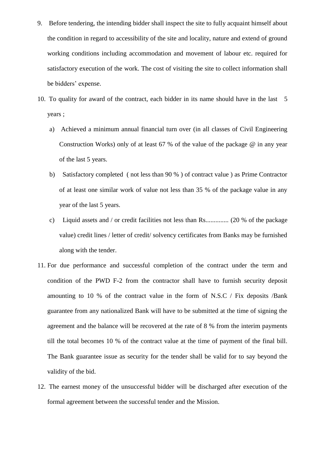- 9. Before tendering, the intending bidder shall inspect the site to fully acquaint himself about the condition in regard to accessibility of the site and locality, nature and extend of ground working conditions including accommodation and movement of labour etc. required for satisfactory execution of the work. The cost of visiting the site to collect information shall be bidders' expense.
- 10. To quality for award of the contract, each bidder in its name should have in the last 5 years ;
	- a) Achieved a minimum annual financial turn over (in all classes of Civil Engineering Construction Works) only of at least 67 % of the value of the package @ in any year of the last 5 years.
	- b) Satisfactory completed ( not less than 90 % ) of contract value ) as Prime Contractor of at least one similar work of value not less than 35 % of the package value in any year of the last 5 years.
	- c) Liquid assets and / or credit facilities not less than Rs.............. (20 % of the package value) credit lines / letter of credit/ solvency certificates from Banks may be furnished along with the tender.
- 11. For due performance and successful completion of the contract under the term and condition of the PWD F-2 from the contractor shall have to furnish security deposit amounting to 10 % of the contract value in the form of N.S.C / Fix deposits /Bank guarantee from any nationalized Bank will have to be submitted at the time of signing the agreement and the balance will be recovered at the rate of 8 % from the interim payments till the total becomes 10 % of the contract value at the time of payment of the final bill. The Bank guarantee issue as security for the tender shall be valid for to say beyond the validity of the bid.
- 12. The earnest money of the unsuccessful bidder will be discharged after execution of the formal agreement between the successful tender and the Mission.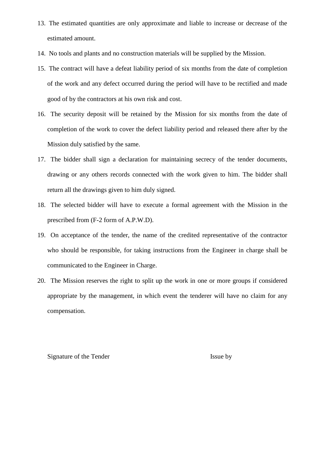- 13. The estimated quantities are only approximate and liable to increase or decrease of the estimated amount.
- 14. No tools and plants and no construction materials will be supplied by the Mission.
- 15. The contract will have a defeat liability period of six months from the date of completion of the work and any defect occurred during the period will have to be rectified and made good of by the contractors at his own risk and cost.
- 16. The security deposit will be retained by the Mission for six months from the date of completion of the work to cover the defect liability period and released there after by the Mission duly satisfied by the same.
- 17. The bidder shall sign a declaration for maintaining secrecy of the tender documents, drawing or any others records connected with the work given to him. The bidder shall return all the drawings given to him duly signed.
- 18. The selected bidder will have to execute a formal agreement with the Mission in the prescribed from (F-2 form of A.P.W.D).
- 19. On acceptance of the tender, the name of the credited representative of the contractor who should be responsible, for taking instructions from the Engineer in charge shall be communicated to the Engineer in Charge.
- 20. The Mission reserves the right to split up the work in one or more groups if considered appropriate by the management, in which event the tenderer will have no claim for any compensation.

Signature of the Tender Issue by